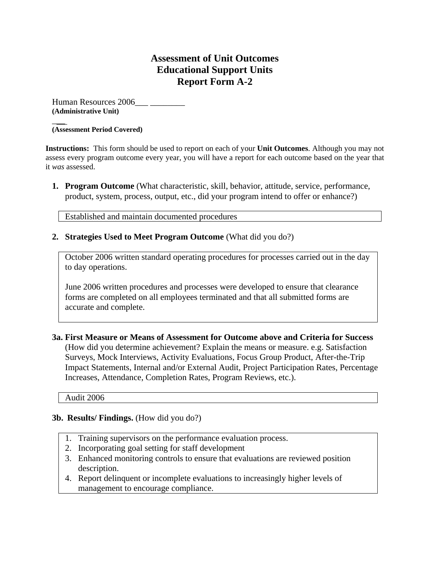## **Assessment of Unit Outcomes Educational Support Units Report Form A-2**

Human Resources 2006 **(Administrative Unit)** 

#### $\overline{\phantom{a}}$ **(Assessment Period Covered)**

**Instructions:** This form should be used to report on each of your **Unit Outcomes**. Although you may not assess every program outcome every year, you will have a report for each outcome based on the year that it *was* assessed.

**1. Program Outcome** (What characteristic, skill, behavior, attitude, service, performance, product, system, process, output, etc., did your program intend to offer or enhance?)

Established and maintain documented procedures

**2. Strategies Used to Meet Program Outcome** (What did you do?)

October 2006 written standard operating procedures for processes carried out in the day to day operations.

June 2006 written procedures and processes were developed to ensure that clearance forms are completed on all employees terminated and that all submitted forms are accurate and complete.

**3a. First Measure or Means of Assessment for Outcome above and Criteria for Success** (How did you determine achievement? Explain the means or measure. e.g. Satisfaction Surveys, Mock Interviews, Activity Evaluations, Focus Group Product, After-the-Trip Impact Statements, Internal and/or External Audit, Project Participation Rates, Percentage Increases, Attendance, Completion Rates, Program Reviews, etc.).

Audit 2006

#### **3b. Results/ Findings.** (How did you do?)

- 1. Training supervisors on the performance evaluation process.
- 2. Incorporating goal setting for staff development
- 3. Enhanced monitoring controls to ensure that evaluations are reviewed position description.
- 4. Report delinquent or incomplete evaluations to increasingly higher levels of management to encourage compliance.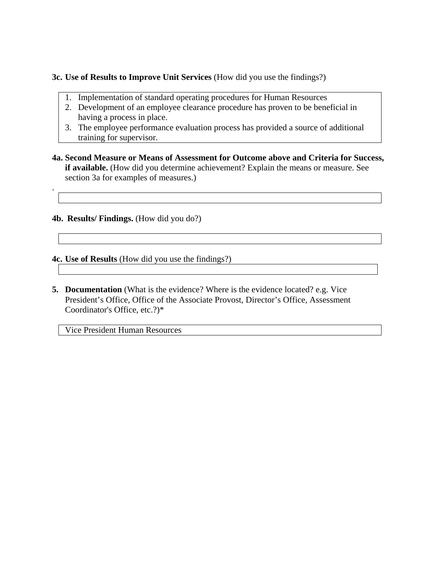**3c. Use of Results to Improve Unit Services** (How did you use the findings?)

- 1. Implementation of standard operating procedures for Human Resources
- 2. Development of an employee clearance procedure has proven to be beneficial in having a process in place.
- 3. The employee performance evaluation process has provided a source of additional training for supervisor.
- **4a. Second Measure or Means of Assessment for Outcome above and Criteria for Success, if available.** (How did you determine achievement? Explain the means or measure. See section 3a for examples of measures.)

**4b. Results/ Findings.** (How did you do?)

.

**4c. Use of Results** (How did you use the findings?)

**5. Documentation** (What is the evidence? Where is the evidence located? e.g. Vice President's Office, Office of the Associate Provost, Director's Office, Assessment Coordinator's Office, etc.?)\*

Vice President Human Resources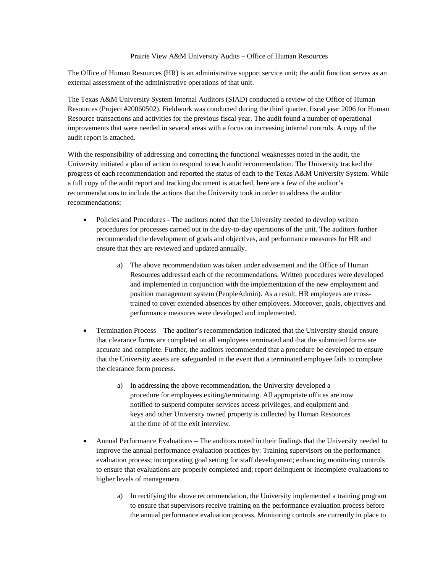#### Prairie View A&M University Audits – Office of Human Resources

The Office of Human Resources (HR) is an administrative support service unit; the audit function serves as an external assessment of the administrative operations of that unit.

The Texas A&M University System Internal Auditors (SIAD) conducted a review of the Office of Human Resources (Project #20060502). Fieldwork was conducted during the third quarter, fiscal year 2006 for Human Resource transactions and activities for the previous fiscal year. The audit found a number of operational improvements that were needed in several areas with a focus on increasing internal controls. A copy of the audit report is attached.

With the responsibility of addressing and correcting the functional weaknesses noted in the audit, the University initiated a plan of action to respond to each audit recommendation. The University tracked the progress of each recommendation and reported the status of each to the Texas A&M University System. While a full copy of the audit report and tracking document is attached, here are a few of the auditor's recommendations to include the actions that the University took in order to address the auditor recommendations:

- Policies and Procedures The auditors noted that the University needed to develop written procedures for processes carried out in the day-to-day operations of the unit. The auditors further recommended the development of goals and objectives, and performance measures for HR and ensure that they are reviewed and updated annually.
	- a) The above recommendation was taken under advisement and the Office of Human Resources addressed each of the recommendations. Written procedures were developed and implemented in conjunction with the implementation of the new employment and position management system (PeopleAdmin). As a result, HR employees are crosstrained to cover extended absences by other employees. Moreover, goals, objectives and performance measures were developed and implemented.
- Termination Process The auditor's recommendation indicated that the University should ensure that clearance forms are completed on all employees terminated and that the submitted forms are accurate and complete. Further, the auditors recommended that a procedure be developed to ensure that the University assets are safeguarded in the event that a terminated employee fails to complete the clearance form process.
	- a) In addressing the above recommendation, the University developed a procedure for employees exiting/terminating. All appropriate offices are now notified to suspend computer services access privileges, and equipment and keys and other University owned property is collected by Human Resources at the time of of the exit interview.
- Annual Performance Evaluations The auditors noted in their findings that the University needed to improve the annual performance evaluation practices by: Training supervisors on the performance evaluation process; incorporating goal setting for staff development; enhancing monitoring controls to ensure that evaluations are properly completed and; report delinquent or incomplete evaluations to higher levels of management.
	- a) In rectifying the above recommendation, the University implemented a training program to ensure that supervisors receive training on the performance evaluation process before the annual performance evaluation process. Monitoring controls are currently in place to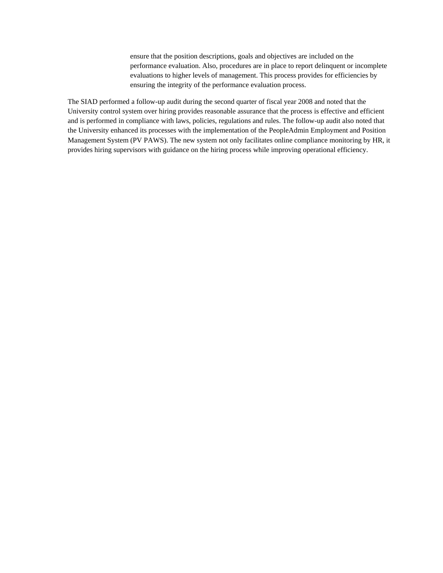ensure that the position descriptions, goals and objectives are included on the performance evaluation. Also, procedures are in place to report delinquent or incomplete evaluations to higher levels of management. This process provides for efficiencies by ensuring the integrity of the performance evaluation process.

The SIAD performed a follow-up audit during the second quarter of fiscal year 2008 and noted that the University control system over hiring provides reasonable assurance that the process is effective and efficient and is performed in compliance with laws, policies, regulations and rules. The follow-up audit also noted that the University enhanced its processes with the implementation of the PeopleAdmin Employment and Position Management System (PV PAWS). The new system not only facilitates online compliance monitoring by HR, it provides hiring supervisors with guidance on the hiring process while improving operational efficiency.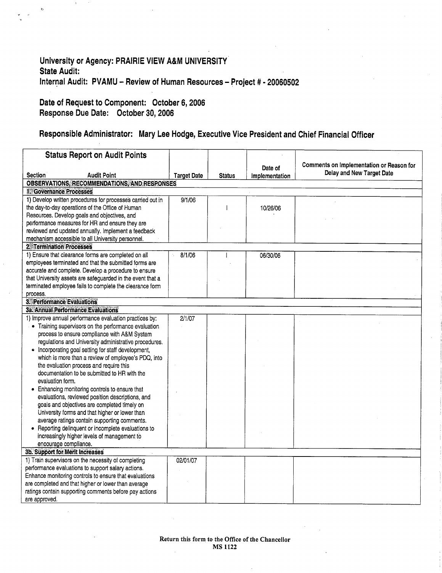## University or Agency: PRAIRIE VIEW A&M UNIVERSITY **State Audit:** Internal Audit: PVAMU - Review of Human Resources - Project # - 20060502

### Date of Request to Component: October 6, 2006 Response Due Date: October 30, 2006

 $\ddot{\text{o}}$ 

## Responsible Administrator: Mary Lee Hodge, Executive Vice President and Chief Financial Officer

| <b>Status Report on Audit Points</b>                                                                               |                    |               |                |                                          |
|--------------------------------------------------------------------------------------------------------------------|--------------------|---------------|----------------|------------------------------------------|
|                                                                                                                    |                    |               | Date of        | Comments on Implementation or Reason for |
| <b>Section</b><br><b>Audit Point</b>                                                                               | <b>Target Date</b> | <b>Status</b> | Implementation | Delay and New Target Date                |
| OBSERVATIONS, RECOMMENDATIONS, AND RESPONSES                                                                       |                    |               |                |                                          |
| 1. Governance Processes                                                                                            |                    |               |                |                                          |
| 1) Develop written procedures for processes carried out in                                                         | 9/1/06             |               |                |                                          |
| the day-to-day operations of the Office of Human                                                                   |                    |               | 10/26/06       |                                          |
| Resources. Develop goals and objectives, and                                                                       |                    |               |                |                                          |
| performance measures for HR and ensure they are                                                                    |                    |               |                |                                          |
| reviewed and updated annually. Implement a feedback                                                                |                    |               |                |                                          |
| mechanism accessible to all University personnel.                                                                  |                    |               |                |                                          |
| <b>2. Termination Processes</b>                                                                                    |                    |               |                |                                          |
| 1) Ensure that clearance forms are completed on all                                                                | 8/1/06             |               | 06/30/06       |                                          |
| employees terminated and that the submitted forms are                                                              |                    |               |                |                                          |
| accurate and complete. Develop a procedure to ensure<br>that University assets are safeguarded in the event that a |                    |               |                |                                          |
| terminated employee fails to complete the clearance form                                                           |                    |               |                |                                          |
| process.                                                                                                           |                    |               |                |                                          |
| 3. Performance Evaluations                                                                                         |                    |               |                |                                          |
| 3a. Annual Performance Evaluations                                                                                 |                    |               |                |                                          |
| 1) Improve annual performance evaluation practices by:                                                             | 2/1/07             |               |                |                                          |
| • Training supervisors on the performance evaluation                                                               |                    |               |                |                                          |
| process to ensure compliance with A&M System                                                                       |                    |               |                |                                          |
| regulations and University administrative procedures.                                                              |                    |               |                |                                          |
| • Incorporating goal setting for staff development,                                                                |                    |               |                |                                          |
| which is more than a review of employee's PDQ, into                                                                |                    |               |                |                                          |
| the evaluation process and require this                                                                            |                    |               |                |                                          |
| documentation to be submitted to HR with the                                                                       |                    |               |                |                                          |
| evaluation form.                                                                                                   |                    |               |                |                                          |
| Enhancing monitoring controls to ensure that                                                                       |                    |               |                |                                          |
| evaluations, reviewed position descriptions, and                                                                   |                    |               |                |                                          |
| goals and objectives are completed timely on                                                                       |                    |               |                |                                          |
| University forms and that higher or lower than                                                                     |                    |               |                |                                          |
| average ratings contain supporting comments.                                                                       |                    |               |                |                                          |
| Reporting delinquent or incomplete evaluations to                                                                  |                    |               |                |                                          |
| increasingly higher levels of management to                                                                        |                    |               |                |                                          |
| encourage compliance.<br>3b. Support for Merit Increases                                                           |                    |               |                |                                          |
| 1) Train supervisors on the necessity of completing                                                                | 02/01/07           |               |                |                                          |
| performance evaluations to support salary actions.                                                                 |                    |               |                |                                          |
| Enhance monitoring controls to ensure that evaluations                                                             |                    |               |                |                                          |
| are completed and that higher or lower than average                                                                |                    |               |                |                                          |
| ratings contain supporting comments before pay actions                                                             |                    |               |                |                                          |
| are approved.                                                                                                      |                    |               |                |                                          |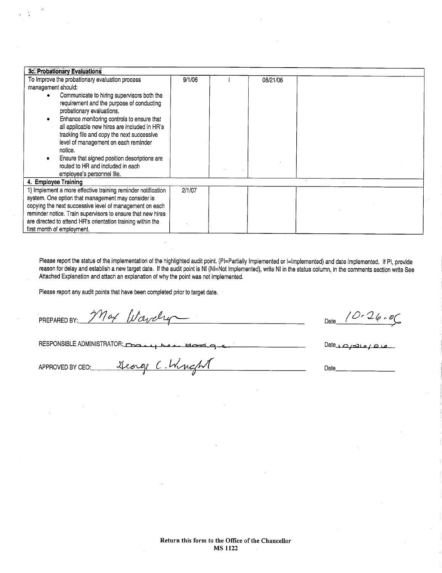| 3c. Probationary Evaluations                                 |        |          |  |  |
|--------------------------------------------------------------|--------|----------|--|--|
| To Improve the probationary evaluation process               | 9/1/06 | 08/21/06 |  |  |
| management should:                                           |        |          |  |  |
| Communicate to hiring supervisors both the                   |        |          |  |  |
| requirement and the purpose of conducting                    |        |          |  |  |
| probationary evaluations.                                    |        |          |  |  |
| Enhance monitoring controls to ensure that                   |        |          |  |  |
| all applicable new hires are included in HR's                |        |          |  |  |
| tracking file and copy the next successive                   |        |          |  |  |
| level of management on each reminder                         |        |          |  |  |
| notice.                                                      |        |          |  |  |
| Ensure that signed position descriptions are                 |        |          |  |  |
| routed to HR and included in each                            |        |          |  |  |
| employee's personnel file.                                   |        |          |  |  |
| 4. Employee Training                                         |        |          |  |  |
| 1) Implement a more effective training reminder notification | 2/1/07 |          |  |  |
| system. One option that management may consider is           |        |          |  |  |
| copying the next successive level of management on each      |        |          |  |  |
| reminder notice. Train supervisors to ensure that new hires  |        |          |  |  |
| are directed to attend HR's orientation training within the  |        |          |  |  |
| first month of employment.                                   |        |          |  |  |

Please report the status of the implementation of the highlighted audit point. (PI=Partially Implemented or I=Implemented) and date implemented. If PI, provide reason for delay and establish a new target date. If the audit point is NI (NI=Not Implemented), write NI in the status column, in the comments section write See Attached Explanation and attach an explanation of why the point was not implemented.

 $\label{eq:2.1} \frac{1}{2} \sum_{i=1}^n \frac{1}{2} \sum_{j=1}^n \frac{1}{2} \sum_{j=1}^n \frac{1}{2} \sum_{j=1}^n \frac{1}{2} \sum_{j=1}^n \frac{1}{2} \sum_{j=1}^n \frac{1}{2} \sum_{j=1}^n \frac{1}{2} \sum_{j=1}^n \frac{1}{2} \sum_{j=1}^n \frac{1}{2} \sum_{j=1}^n \frac{1}{2} \sum_{j=1}^n \frac{1}{2} \sum_{j=1}^n \frac{1}{2} \sum_{j=1}^n \frac{$ 

Please report any audit points that have been completed prior to target date.

PREPARED BY:

RESPONSIBLE ADMINISTRATOR: تمقطهم Bodg

Max Wavely

George C. Wright

Date  $10 - 26 - 06$ 

Date  $\sqrt{a}$ 

Date\_

APPROVED BY CEO: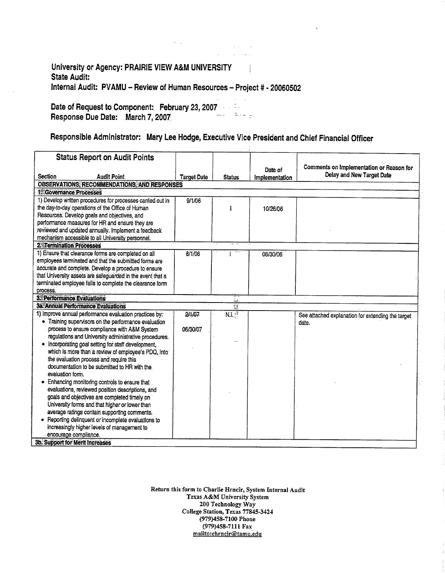### University or Agency: PRAIRIE VIEW A&M UNIVERSITY **State Audit:** Internal Audit: PVAMU - Review of Human Resources - Project # - 20060502

Date of Request to Component: February 23, 2007  $\mathcal{L}_{\rm{in}}$  . Response Due Date: March 7, 2007 بي ساء ڪتاب الأسباب

# Responsible Administrator: Mary Lee Hodge, Executive Vice President and Chief Financial Officer

| Comments on Implementation or Reason for<br>Date of<br>Delay and New Target Date<br><b>Section</b><br><b>Audit Point</b><br><b>Target Date</b><br><b>Status</b><br>Implementation<br><b>OBSERVATIONS, RECOMMENDATIONS, AND RESPONSES</b><br>1. Governance Processes<br>1) Develop written procedures for processes carried out in<br>9/1/06<br>the day-to-day operations of the Office of Human<br>10/26/06<br>Resources. Develop goals and objectives, and<br>performance measures for HR and ensure they are<br>reviewed and updated annually. Implement a feedback<br>mechanism accessible to all University personnel.<br><b>2. Termination Processes</b><br>1) Ensure that clearance forms are completed on all<br>8/1/06<br>06/30/06<br>employees terminated and that the submitted forms are<br>accurate and complete. Develop a procedure to ensure<br>that University assets are safeguarded in the event that a<br>terminated employee fails to complete the clearance form<br>process.<br><b>3. Performance Evaluations</b><br>ins.<br><b>3a. Annual Performance Evaluations</b><br>nig.<br>1) Improve annual performance evaluation practices by:<br><b>NLT</b><br>24/07<br>See attached explanation for extending the target<br>Training supervisors on the performance evaluation<br>date. |
|----------------------------------------------------------------------------------------------------------------------------------------------------------------------------------------------------------------------------------------------------------------------------------------------------------------------------------------------------------------------------------------------------------------------------------------------------------------------------------------------------------------------------------------------------------------------------------------------------------------------------------------------------------------------------------------------------------------------------------------------------------------------------------------------------------------------------------------------------------------------------------------------------------------------------------------------------------------------------------------------------------------------------------------------------------------------------------------------------------------------------------------------------------------------------------------------------------------------------------------------------------------------------------------------------------|
|                                                                                                                                                                                                                                                                                                                                                                                                                                                                                                                                                                                                                                                                                                                                                                                                                                                                                                                                                                                                                                                                                                                                                                                                                                                                                                          |
|                                                                                                                                                                                                                                                                                                                                                                                                                                                                                                                                                                                                                                                                                                                                                                                                                                                                                                                                                                                                                                                                                                                                                                                                                                                                                                          |
|                                                                                                                                                                                                                                                                                                                                                                                                                                                                                                                                                                                                                                                                                                                                                                                                                                                                                                                                                                                                                                                                                                                                                                                                                                                                                                          |
|                                                                                                                                                                                                                                                                                                                                                                                                                                                                                                                                                                                                                                                                                                                                                                                                                                                                                                                                                                                                                                                                                                                                                                                                                                                                                                          |
|                                                                                                                                                                                                                                                                                                                                                                                                                                                                                                                                                                                                                                                                                                                                                                                                                                                                                                                                                                                                                                                                                                                                                                                                                                                                                                          |
|                                                                                                                                                                                                                                                                                                                                                                                                                                                                                                                                                                                                                                                                                                                                                                                                                                                                                                                                                                                                                                                                                                                                                                                                                                                                                                          |
|                                                                                                                                                                                                                                                                                                                                                                                                                                                                                                                                                                                                                                                                                                                                                                                                                                                                                                                                                                                                                                                                                                                                                                                                                                                                                                          |
|                                                                                                                                                                                                                                                                                                                                                                                                                                                                                                                                                                                                                                                                                                                                                                                                                                                                                                                                                                                                                                                                                                                                                                                                                                                                                                          |
|                                                                                                                                                                                                                                                                                                                                                                                                                                                                                                                                                                                                                                                                                                                                                                                                                                                                                                                                                                                                                                                                                                                                                                                                                                                                                                          |
|                                                                                                                                                                                                                                                                                                                                                                                                                                                                                                                                                                                                                                                                                                                                                                                                                                                                                                                                                                                                                                                                                                                                                                                                                                                                                                          |
|                                                                                                                                                                                                                                                                                                                                                                                                                                                                                                                                                                                                                                                                                                                                                                                                                                                                                                                                                                                                                                                                                                                                                                                                                                                                                                          |
|                                                                                                                                                                                                                                                                                                                                                                                                                                                                                                                                                                                                                                                                                                                                                                                                                                                                                                                                                                                                                                                                                                                                                                                                                                                                                                          |
|                                                                                                                                                                                                                                                                                                                                                                                                                                                                                                                                                                                                                                                                                                                                                                                                                                                                                                                                                                                                                                                                                                                                                                                                                                                                                                          |
|                                                                                                                                                                                                                                                                                                                                                                                                                                                                                                                                                                                                                                                                                                                                                                                                                                                                                                                                                                                                                                                                                                                                                                                                                                                                                                          |
|                                                                                                                                                                                                                                                                                                                                                                                                                                                                                                                                                                                                                                                                                                                                                                                                                                                                                                                                                                                                                                                                                                                                                                                                                                                                                                          |
|                                                                                                                                                                                                                                                                                                                                                                                                                                                                                                                                                                                                                                                                                                                                                                                                                                                                                                                                                                                                                                                                                                                                                                                                                                                                                                          |
|                                                                                                                                                                                                                                                                                                                                                                                                                                                                                                                                                                                                                                                                                                                                                                                                                                                                                                                                                                                                                                                                                                                                                                                                                                                                                                          |
|                                                                                                                                                                                                                                                                                                                                                                                                                                                                                                                                                                                                                                                                                                                                                                                                                                                                                                                                                                                                                                                                                                                                                                                                                                                                                                          |
|                                                                                                                                                                                                                                                                                                                                                                                                                                                                                                                                                                                                                                                                                                                                                                                                                                                                                                                                                                                                                                                                                                                                                                                                                                                                                                          |
|                                                                                                                                                                                                                                                                                                                                                                                                                                                                                                                                                                                                                                                                                                                                                                                                                                                                                                                                                                                                                                                                                                                                                                                                                                                                                                          |
| process to ensure compliance with A&M System<br>06/30/07                                                                                                                                                                                                                                                                                                                                                                                                                                                                                                                                                                                                                                                                                                                                                                                                                                                                                                                                                                                                                                                                                                                                                                                                                                                 |
| regulations and University administrative procedures.                                                                                                                                                                                                                                                                                                                                                                                                                                                                                                                                                                                                                                                                                                                                                                                                                                                                                                                                                                                                                                                                                                                                                                                                                                                    |
| Incorporating goal setting for staff development,                                                                                                                                                                                                                                                                                                                                                                                                                                                                                                                                                                                                                                                                                                                                                                                                                                                                                                                                                                                                                                                                                                                                                                                                                                                        |
| which is more than a review of employee's PDQ, into:                                                                                                                                                                                                                                                                                                                                                                                                                                                                                                                                                                                                                                                                                                                                                                                                                                                                                                                                                                                                                                                                                                                                                                                                                                                     |
| the evaluation process and require this                                                                                                                                                                                                                                                                                                                                                                                                                                                                                                                                                                                                                                                                                                                                                                                                                                                                                                                                                                                                                                                                                                                                                                                                                                                                  |
| documentation to be submitted to HR with the                                                                                                                                                                                                                                                                                                                                                                                                                                                                                                                                                                                                                                                                                                                                                                                                                                                                                                                                                                                                                                                                                                                                                                                                                                                             |
| evaluation form.                                                                                                                                                                                                                                                                                                                                                                                                                                                                                                                                                                                                                                                                                                                                                                                                                                                                                                                                                                                                                                                                                                                                                                                                                                                                                         |
| Enhancing monitoring controls to ensure that                                                                                                                                                                                                                                                                                                                                                                                                                                                                                                                                                                                                                                                                                                                                                                                                                                                                                                                                                                                                                                                                                                                                                                                                                                                             |
| evaluations, reviewed position descriptions, and                                                                                                                                                                                                                                                                                                                                                                                                                                                                                                                                                                                                                                                                                                                                                                                                                                                                                                                                                                                                                                                                                                                                                                                                                                                         |
| goals and objectives are completed timely on                                                                                                                                                                                                                                                                                                                                                                                                                                                                                                                                                                                                                                                                                                                                                                                                                                                                                                                                                                                                                                                                                                                                                                                                                                                             |
| University forms and that higher or lower than                                                                                                                                                                                                                                                                                                                                                                                                                                                                                                                                                                                                                                                                                                                                                                                                                                                                                                                                                                                                                                                                                                                                                                                                                                                           |
| average ratings contain supporting comments.                                                                                                                                                                                                                                                                                                                                                                                                                                                                                                                                                                                                                                                                                                                                                                                                                                                                                                                                                                                                                                                                                                                                                                                                                                                             |
| • Reporting delinquent or incomplete evaluations to                                                                                                                                                                                                                                                                                                                                                                                                                                                                                                                                                                                                                                                                                                                                                                                                                                                                                                                                                                                                                                                                                                                                                                                                                                                      |
| increasingly higher levels of management to                                                                                                                                                                                                                                                                                                                                                                                                                                                                                                                                                                                                                                                                                                                                                                                                                                                                                                                                                                                                                                                                                                                                                                                                                                                              |
| encourage compliance.<br>3b. Support for Merit Increases                                                                                                                                                                                                                                                                                                                                                                                                                                                                                                                                                                                                                                                                                                                                                                                                                                                                                                                                                                                                                                                                                                                                                                                                                                                 |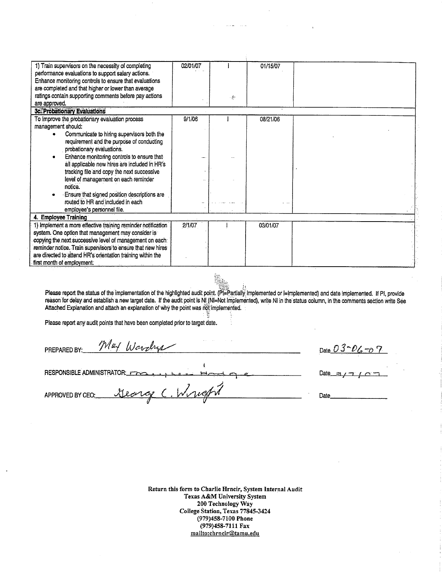| 1) Train supervisors on the necessity of completing<br>performance evaluations to support salary actions. | 02/01/07 |   | 01/15/07 |  |
|-----------------------------------------------------------------------------------------------------------|----------|---|----------|--|
| Enhance monitoring controls to ensure that evaluations                                                    |          |   |          |  |
| are completed and that higher or lower than average                                                       |          |   |          |  |
| ratings contain supporting comments before pay actions                                                    |          | 痴 |          |  |
| are approved.                                                                                             |          |   |          |  |
| 3c. Probationary Evaluations                                                                              |          |   |          |  |
| To Improve the probationary evaluation process                                                            | 9/1/06   |   | 08/21/06 |  |
| management should:                                                                                        |          |   |          |  |
| Communicate to hiring supervisors both the                                                                |          |   |          |  |
| requirement and the purpose of conducting                                                                 |          |   |          |  |
| probationary evaluations.                                                                                 |          |   |          |  |
| Enhance monitoring controls to ensure that                                                                |          |   |          |  |
| all applicable new hires are included in HR's                                                             |          |   |          |  |
| tracking file and copy the next successive                                                                |          |   |          |  |
| level of management on each reminder                                                                      |          |   |          |  |
| notice.                                                                                                   |          |   |          |  |
| Ensure that signed position descriptions are                                                              |          |   |          |  |
| routed to HR and included in each                                                                         |          |   |          |  |
| employee's personnel file.                                                                                |          |   |          |  |
| 4. Emplovee Training                                                                                      |          |   |          |  |
| 1) Implement a more effective training reminder notification                                              | 2/1/07   |   | 03/01/07 |  |
| system. One option that management may consider is                                                        |          |   |          |  |
| copying the next successive level of management on each                                                   |          |   |          |  |
| reminder notice. Train supervisors to ensure that new hires                                               |          |   |          |  |
| are directed to attend HR's orientation training within the                                               |          |   |          |  |
| first month of employment.                                                                                |          |   |          |  |

Please report the status of the implementation of the highlighted audit point. (PL Partially Implemented or I Implemented) and date implemented. If PI, provide<br>reason for delay and establish a new target date. If the audit Attached Explanation and attach an explanation of why the point was not implemented.

Please report any audit points that have been completed prior to target date.

May Wardrys Date  $03 - D6 - D7$ PREPARED BY: **RESPONSIBLE ADMINISTRATOR:** Date\_ Wright George  $\epsilon$ APPROVED BY CEO; Date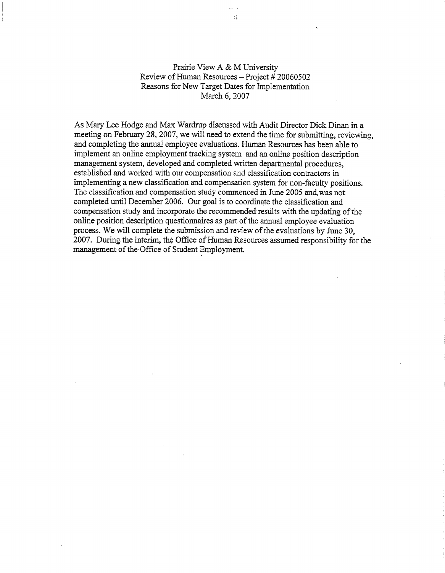#### Prairie View A & M University Review of Human Resources - Project # 20060502 Reasons for New Target Dates for Implementation March 6, 2007

 $\Omega$ 

As Mary Lee Hodge and Max Wardrup discussed with Audit Director Dick Dinan in a meeting on February 28, 2007, we will need to extend the time for submitting, reviewing, and completing the annual employee evaluations. Human Resources has been able to implement an online employment tracking system and an online position description management system, developed and completed written departmental procedures, established and worked with our compensation and classification contractors in implementing a new classification and compensation system for non-faculty positions. The classification and compensation study commenced in June 2005 and was not completed until December 2006. Our goal is to coordinate the classification and compensation study and incorporate the recommended results with the updating of the online position description questionnaires as part of the annual employee evaluation process. We will complete the submission and review of the evaluations by June 30, 2007. During the interim, the Office of Human Resources assumed responsibility for the management of the Office of Student Employment.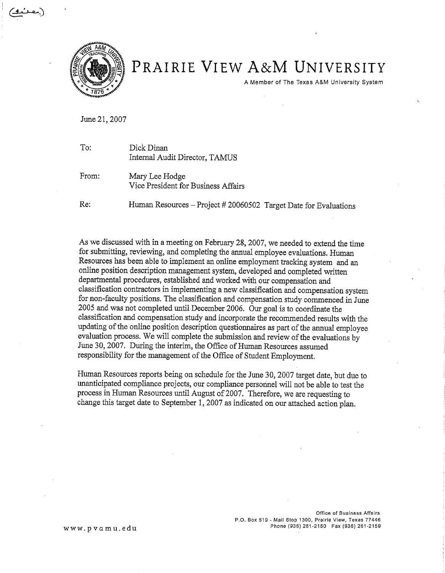

# PRAIRIE VIEW A&M UNIVERSITY

A Member of The Texas A&M University System

June 21, 2007

| To:   | Dick Dinan<br>Internal Audit Director, TAMUS                     |
|-------|------------------------------------------------------------------|
| From: | Mary Lee Hodge<br>Vice President for Business Affairs            |
| Re:   | Human Resources - Project # 20060502 Target Date for Evaluations |

As we discussed with in a meeting on February 28, 2007, we needed to extend the time for submitting, reviewing, and completing the annual employee evaluations. Human Resources has been able to implement an online employment tracking system and an online position description management system, developed and completed written departmental procedures, established and worked with our compensation and classification contractors in implementing a new classification and compensation system for non-faculty positions. The classification and compensation study commenced in June 2005 and was not completed until December 2006. Our goal is to coordinate the classification and compensation study and incorporate the recommended results with the updating of the online position description questionnaires as part of the annual employee evaluation process. We will complete the submission and review of the evaluations by June 30, 2007. During the interim, the Office of Human Resources assumed responsibility for the management of the Office of Student Employment.

Human Resources reports being on schedule for the June 30, 2007 target date, but due to unanticipated compliance projects, our compliance personnel will not be able to test the process in Human Resources until August of 2007. Therefore, we are requesting to change this target date to September 1, 2007 as indicated on our attached action plan.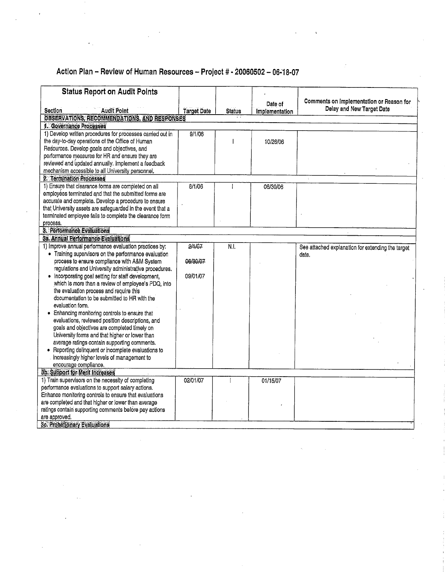## Action Plan - Review of Human Resources - Project # - 20060502 - 06-18-07

| <b>Status Report on Audit Points</b>                                                                |                    |               |                |                                                   |
|-----------------------------------------------------------------------------------------------------|--------------------|---------------|----------------|---------------------------------------------------|
|                                                                                                     |                    |               | Date of        | Comments on Implementation or Reason for          |
| <b>Audit Point</b><br>Section                                                                       | <b>Target Date</b> | <b>Status</b> | Implementation | Delay and New Target Date                         |
| OBSERVATIONS, RECOMMENDATIONS, AND RESPONSES                                                        |                    |               |                |                                                   |
| 1. Governance Processes                                                                             |                    |               |                |                                                   |
| 1) Develop written procedures for processes carried out in                                          | 9/1/06             |               |                |                                                   |
| the day-to-day operations of the Office of Human                                                    |                    |               | 10/26/06       |                                                   |
| Resources. Develop goals and objectives, and                                                        |                    |               |                |                                                   |
| performance measures for HR and ensure they are                                                     |                    |               |                |                                                   |
| reviewed and updated annually. Implement a feedback                                                 |                    |               |                |                                                   |
| mechanism accessible to all University personnel.                                                   |                    |               |                |                                                   |
| 2. Termination Processes<br>1) Ensure that clearance forms are completed on all                     |                    |               |                |                                                   |
| employees terminated and that the submitted forms are                                               | 8/1/06             |               | 06/30/06       |                                                   |
| accurate and complete. Develop a procedure to ensure                                                |                    |               |                |                                                   |
| that University assets are safeguarded in the event that a                                          |                    |               |                |                                                   |
| terminated employee fails to complete the clearance form                                            |                    |               |                |                                                   |
| process.                                                                                            |                    |               |                |                                                   |
| <b>3. Performance Evaluations</b>                                                                   |                    |               |                |                                                   |
| 3a. Annual Performance Evaluations                                                                  |                    |               |                |                                                   |
| 1) Improve annual performance evaluation practices by:                                              | 2/1/07             | N.I.          |                | See attached explanation for extending the target |
| • Training supervisors on the performance evaluation                                                |                    |               |                | date.                                             |
| process to ensure compliance with A&M System                                                        | 06/30/07           |               |                |                                                   |
| regulations and University administrative procedures.                                               |                    |               |                |                                                   |
| • Incorporating goal setting for staff development,                                                 | 09/01/07           |               |                |                                                   |
| which is more than a review of employee's PDQ, into                                                 |                    |               |                |                                                   |
| the evaluation process and require this                                                             |                    |               |                |                                                   |
| documentation to be submitted to HR with the                                                        |                    |               |                |                                                   |
| evaluation form.                                                                                    |                    |               |                |                                                   |
| Enhancing monitoring controls to ensure that                                                        |                    |               |                |                                                   |
| evaluations, reviewed position descriptions, and                                                    |                    |               |                |                                                   |
| goals and objectives are completed timely on                                                        |                    |               |                |                                                   |
| University forms and that higher or lower than                                                      |                    |               |                |                                                   |
| average ratings contain supporting comments.<br>• Reporting delinquent or incomplete evaluations to |                    |               |                |                                                   |
| increasingly higher levels of management to                                                         |                    |               |                |                                                   |
| encourage compliance.                                                                               |                    |               |                |                                                   |
| 3b. Support for Merit Increases                                                                     |                    |               |                |                                                   |
| 1) Train supervisors on the necessity of completing                                                 | 02/01/07           |               | 01/15/07       |                                                   |
| performance evaluations to support salary actions.                                                  |                    |               |                |                                                   |
| Enhance monitoring controls to ensure that evaluations                                              |                    |               |                |                                                   |
| are completed and that higher or lower than average                                                 |                    |               |                |                                                   |
| ratings contain supporting comments before pay actions                                              |                    |               |                |                                                   |
| are approved.                                                                                       |                    |               |                |                                                   |
| 3c. Probationary Evaluations                                                                        |                    |               |                |                                                   |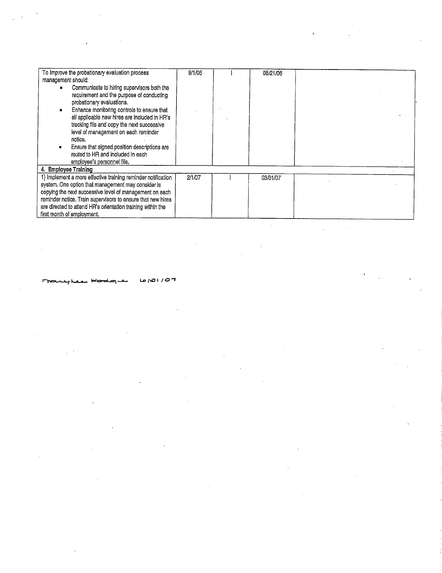| management should:                                           |        |          |  |
|--------------------------------------------------------------|--------|----------|--|
|                                                              |        |          |  |
| Communicate to hiring supervisors both the                   |        |          |  |
| requirement and the purpose of conducting                    |        |          |  |
| probationary evaluations.                                    |        |          |  |
| Enhance monitoring controls to ensure that                   |        |          |  |
| all applicable new hires are included in HR's                |        |          |  |
| tracking file and copy the next successive                   |        |          |  |
| level of management on each reminder                         |        |          |  |
| notice.                                                      |        |          |  |
| Ensure that signed position descriptions are                 |        |          |  |
| routed to HR and included in each                            |        |          |  |
| employee's personnel file.                                   |        |          |  |
| 4. Employee Training                                         |        |          |  |
| 1) Implement a more effective training reminder notification | 2/1/07 | 03/01/07 |  |
| system. One option that management may consider is           |        |          |  |
| copying the next successive level of management on each      |        |          |  |
| reminder notice. Train supervisors to ensure that new hires  |        |          |  |
| are directed to attend HR's orientation training within the  |        |          |  |
| first month of employment.                                   |        |          |  |
|                                                              |        |          |  |
|                                                              |        |          |  |

 $\label{eq:2.1} \frac{1}{\sqrt{2}}\int_{\mathbb{R}^3}\frac{1}{\sqrt{2}}\left(\frac{1}{\sqrt{2}}\right)^2\frac{1}{\sqrt{2}}\left(\frac{1}{\sqrt{2}}\right)^2\frac{1}{\sqrt{2}}\left(\frac{1}{\sqrt{2}}\right)^2\frac{1}{\sqrt{2}}\left(\frac{1}{\sqrt{2}}\right)^2\frac{1}{\sqrt{2}}\left(\frac{1}{\sqrt{2}}\right)^2\frac{1}{\sqrt{2}}\frac{1}{\sqrt{2}}\frac{1}{\sqrt{2}}\frac{1}{\sqrt{2}}\frac{1}{\sqrt{2}}\frac{1}{\sqrt{2}}$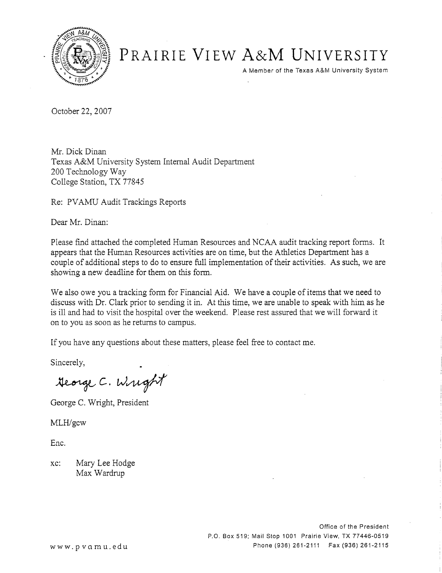

# PRAIRIE VIEW A&M UNIVERSITY

A Member of the Texas A&M University System

October 22, 2007

Mr. Dick Dinan Texas A&M University System Internal Audit Department 200 Technology Way College Station, TX 77845

Re: PVAMU Audit Trackings Reports

Dear Mr. Dinan:

Please find attached the completed Human Resources and NCAA audit tracking report forms. It appears that the Human Resources activities are on time, but the Athletics Department has a couple of additional steps to do to ensure full implementation of their activities. As such, we are showing a new deadline for them on this form.

We also owe you a tracking form for Financial Aid. We have a couple of items that we need to discuss with Dr. Clark prior to sending it in. At this time, we are unable to speak with him as he is ill and had to visit the hospital over the weekend. Please rest assured that we will forward it on to you as soon as he returns to campus.

If you have any questions about these matters, please feel free to contact me.

Sincerely,

Heorge C. Wright

George C. Wright, President

MLH/gcw

Enc.

Mary Lee Hodge  $xc$ : Max Wardrup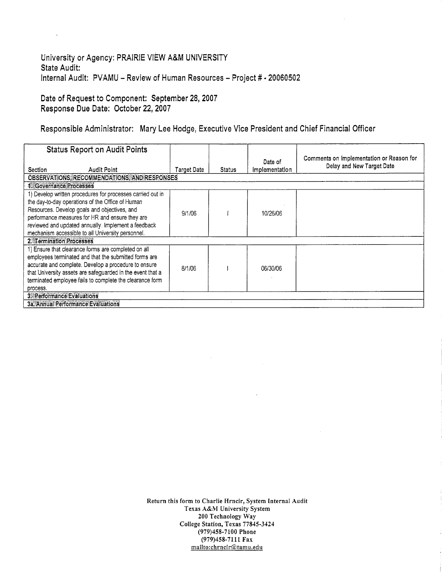#### University or Agency: PRAIRIE VIEW A&M UNIVERSITY State Audit: Internal Audit: PVAMU - Review of Human Resources - Project # - 20060502

Date of Request to Component: September 28, 2007 Response Due Date: October 22, 2007

ù,

Responsible Administrator: Mary Lee Hodge, Executive Vice President and Chief Financial Officer

| <b>Status Report on Audit Points</b>                                                                                                                                                                                                                                                                                          |             |               | Date of        | Comments on Implementation or Reason for |  |
|-------------------------------------------------------------------------------------------------------------------------------------------------------------------------------------------------------------------------------------------------------------------------------------------------------------------------------|-------------|---------------|----------------|------------------------------------------|--|
| <b>Audit Point</b><br>Section                                                                                                                                                                                                                                                                                                 | Target Date | <b>Status</b> | Implementation | Delay and New Target Date                |  |
| OBSERVATIONS, RECOMMENDATIONS, AND RESPONSES                                                                                                                                                                                                                                                                                  |             |               |                |                                          |  |
| 1. Governance Processes                                                                                                                                                                                                                                                                                                       |             |               |                |                                          |  |
| 1) Develop written procedures for processes carried out in<br>the day-to-day operations of the Office of Human<br>Resources. Develop goals and objectives, and<br>performance measures for HR and ensure they are<br>reviewed and updated annually. Implement a feedback<br>mechanism accessible to all University personnel. | 9/1/06      |               | 10/26/06       |                                          |  |
| 2. Termination Processes                                                                                                                                                                                                                                                                                                      |             |               |                |                                          |  |
| 1) Ensure that clearance forms are completed on all<br>employees terminated and that the submitted forms are<br>accurate and complete. Develop a procedure to ensure<br>that University assets are safeguarded in the event that a<br>terminated employee fails to complete the clearance form<br>process.                    | 8/1/06      |               | 06/30/06       |                                          |  |
| 3. Performance Evaluations                                                                                                                                                                                                                                                                                                    |             |               |                |                                          |  |
| 3a. Annual Performance Evaluations                                                                                                                                                                                                                                                                                            |             |               |                |                                          |  |

 $\sim$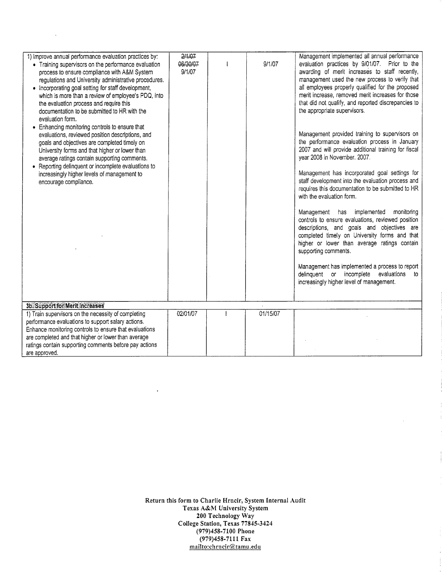| 1) Improve annual performance evaluation practices by:<br>• Training supervisors on the performance evaluation<br>process to ensure compliance with A&M System<br>regulations and University administrative procedures.<br>• Incorporating goal setting for staff development,<br>which is more than a review of employee's PDQ, into<br>the evaluation process and require this<br>documentation to be submitted to HR with the | 2/1/07<br>06/30/07<br>9/1/07 | 9/1/07   | Management implemented all annual performance<br>evaluation practices by 9/01/07. Prior to the<br>awarding of merit increases to staff recently,<br>management used the new process to verify that<br>all employees properly qualified for the proposed<br>merit increase, removed merit increases for those<br>that did not qualify, and reported discrepancies to<br>the appropriate supervisors.               |
|----------------------------------------------------------------------------------------------------------------------------------------------------------------------------------------------------------------------------------------------------------------------------------------------------------------------------------------------------------------------------------------------------------------------------------|------------------------------|----------|-------------------------------------------------------------------------------------------------------------------------------------------------------------------------------------------------------------------------------------------------------------------------------------------------------------------------------------------------------------------------------------------------------------------|
| evaluation form.<br>• Enhancing monitoring controls to ensure that<br>evaluations, reviewed position descriptions, and<br>goals and objectives are completed timely on<br>University forms and that higher or lower than<br>average ratings contain supporting comments.<br>• Reporting delinquent or incomplete evaluations to<br>increasingly higher levels of management to<br>encourage compliance.                          |                              |          | Management provided training to supervisors on<br>the performance evaluation process in January<br>2007 and will provide additional training for fiscal<br>year 2008 in November. 2007.<br>Management has incorporated goal settings for<br>staff development into the evaluation process and<br>requires this documentation to be submitted to HR<br>with the evaluation form.                                   |
|                                                                                                                                                                                                                                                                                                                                                                                                                                  |                              |          | Management has implemented<br>monitoring<br>controls to ensure evaluations, reviewed position<br>descriptions, and goals and objectives are<br>completed timely on University forms and that<br>higher or lower than average ratings contain<br>supporting comments.<br>Management has implemented a process to report<br>delinquent or incomplete evaluations<br>to.<br>increasingly higher level of management. |
| 3b. Support for Merit Increases                                                                                                                                                                                                                                                                                                                                                                                                  |                              |          |                                                                                                                                                                                                                                                                                                                                                                                                                   |
| 1) Train supervisors on the necessity of completing<br>performance evaluations to support salary actions.<br>Enhance monitoring controls to ensure that evaluations<br>are completed and that higher or lower than average<br>ratings contain supporting comments before pay actions<br>are approved.                                                                                                                            | 02/01/07                     | 01/15/07 |                                                                                                                                                                                                                                                                                                                                                                                                                   |

Return this form to Charlie Hrncir, System Internal Audit<br>Texas A&M University System<br>200 Technology Way<br>College Station, Texas 77845-3424 (979)458-7100 Phone  $(979)458-7111$  Fax<br>mailto:chrncir@tamu.edu

 $\ddot{\phantom{1}}$